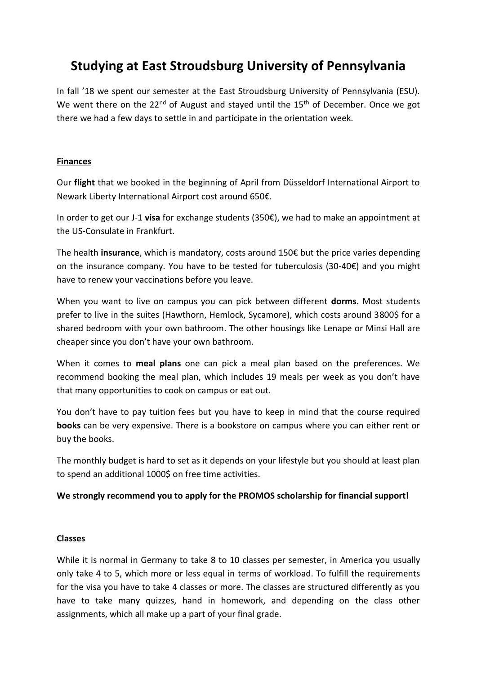# **Studying at East Stroudsburg University of Pennsylvania**

In fall '18 we spent our semester at the East Stroudsburg University of Pennsylvania (ESU). We went there on the  $22^{nd}$  of August and stayed until the  $15^{th}$  of December. Once we got there we had a few days to settle in and participate in the orientation week.

## **Finances**

Our **flight** that we booked in the beginning of April from Düsseldorf International Airport to Newark Liberty International Airport cost around 650€.

In order to get our J-1 **visa** for exchange students (350€), we had to make an appointment at the US-Consulate in Frankfurt.

The health **insurance**, which is mandatory, costs around 150€ but the price varies depending on the insurance company. You have to be tested for tuberculosis (30-40€) and you might have to renew your vaccinations before you leave.

When you want to live on campus you can pick between different **dorms**. Most students prefer to live in the suites (Hawthorn, Hemlock, Sycamore), which costs around 3800\$ for a shared bedroom with your own bathroom. The other housings like Lenape or Minsi Hall are cheaper since you don't have your own bathroom.

When it comes to **meal plans** one can pick a meal plan based on the preferences. We recommend booking the meal plan, which includes 19 meals per week as you don't have that many opportunities to cook on campus or eat out.

You don't have to pay tuition fees but you have to keep in mind that the course required **books** can be very expensive. There is a bookstore on campus where you can either rent or buy the books.

The monthly budget is hard to set as it depends on your lifestyle but you should at least plan to spend an additional 1000\$ on free time activities.

## **We strongly recommend you to apply for the PROMOS scholarship for financial support!**

## **Classes**

While it is normal in Germany to take 8 to 10 classes per semester, in America you usually only take 4 to 5, which more or less equal in terms of workload. To fulfill the requirements for the visa you have to take 4 classes or more. The classes are structured differently as you have to take many quizzes, hand in homework, and depending on the class other assignments, which all make up a part of your final grade.